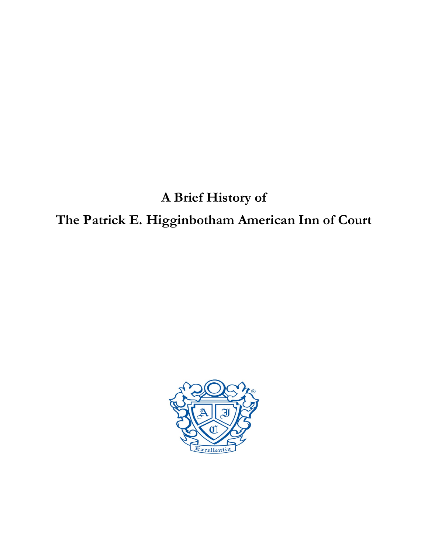## **A Brief History of**

## **The Patrick E. Higginbotham American Inn of Court**

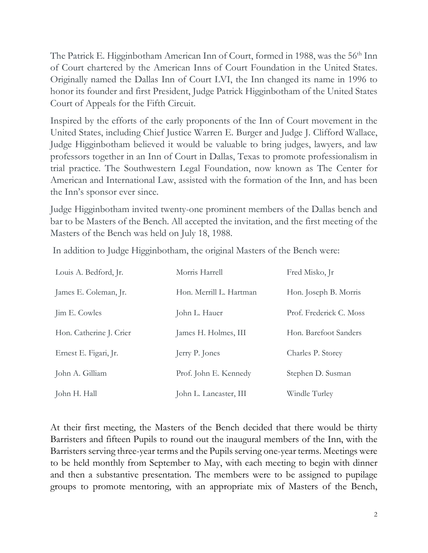The Patrick E. Higginbotham American Inn of Court, formed in 1988, was the 56<sup>th</sup> Inn of Court chartered by the American Inns of Court Foundation in the United States. Originally named the Dallas Inn of Court LVI, the Inn changed its name in 1996 to honor its founder and first President, Judge Patrick Higginbotham of the United States Court of Appeals for the Fifth Circuit.

Inspired by the efforts of the early proponents of the Inn of Court movement in the United States, including Chief Justice Warren E. Burger and Judge J. Clifford Wallace, Judge Higginbotham believed it would be valuable to bring judges, lawyers, and law professors together in an Inn of Court in Dallas, Texas to promote professionalism in trial practice. The Southwestern Legal Foundation, now known as The Center for American and International Law, assisted with the formation of the Inn, and has been the Inn's sponsor ever since.

Judge Higginbotham invited twenty-one prominent members of the Dallas bench and bar to be Masters of the Bench. All accepted the invitation, and the first meeting of the Masters of the Bench was held on July 18, 1988.

| Louis A. Bedford, Jr.   | Morris Harrell          | Fred Misko, Ir          |
|-------------------------|-------------------------|-------------------------|
| James E. Coleman, Jr.   | Hon. Merrill L. Hartman | Hon. Joseph B. Morris   |
| Jim E. Cowles           | John L. Hauer           | Prof. Frederick C. Moss |
| Hon. Catherine J. Crier | James H. Holmes, III    | Hon. Barefoot Sanders   |
| Ernest E. Figari, Jr.   | Jerry P. Jones          | Charles P. Storey       |
| John A. Gilliam         | Prof. John E. Kennedy   | Stephen D. Susman       |
| John H. Hall            | John L. Lancaster, III  | Windle Turley           |

In addition to Judge Higginbotham, the original Masters of the Bench were:

At their first meeting, the Masters of the Bench decided that there would be thirty Barristers and fifteen Pupils to round out the inaugural members of the Inn, with the Barristers serving three-year terms and the Pupils serving one-year terms. Meetings were to be held monthly from September to May, with each meeting to begin with dinner and then a substantive presentation. The members were to be assigned to pupilage groups to promote mentoring, with an appropriate mix of Masters of the Bench,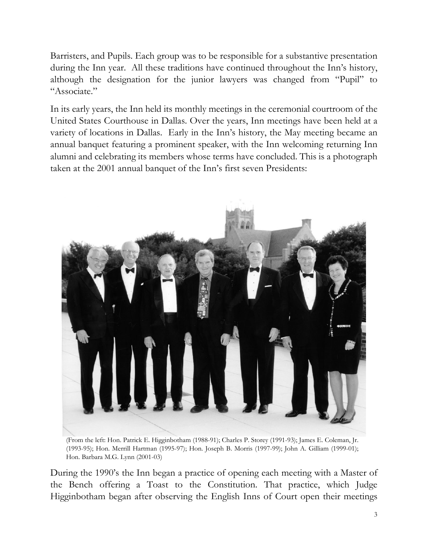Barristers, and Pupils. Each group was to be responsible for a substantive presentation during the Inn year. All these traditions have continued throughout the Inn's history, although the designation for the junior lawyers was changed from "Pupil" to "Associate."

In its early years, the Inn held its monthly meetings in the ceremonial courtroom of the United States Courthouse in Dallas. Over the years, Inn meetings have been held at a variety of locations in Dallas. Early in the Inn's history, the May meeting became an annual banquet featuring a prominent speaker, with the Inn welcoming returning Inn alumni and celebrating its members whose terms have concluded. This is a photograph taken at the 2001 annual banquet of the Inn's first seven Presidents:



(From the left: Hon. Patrick E. Higginbotham (1988-91); Charles P. Storey (1991-93); James E. Coleman, Jr. (1993-95); Hon. Merrill Hartman (1995-97); Hon. Joseph B. Morris (1997-99); John A. Gilliam (1999-01); Hon. Barbara M.G. Lynn (2001-03)

During the 1990's the Inn began a practice of opening each meeting with a Master of the Bench offering a Toast to the Constitution. That practice, which Judge Higginbotham began after observing the English Inns of Court open their meetings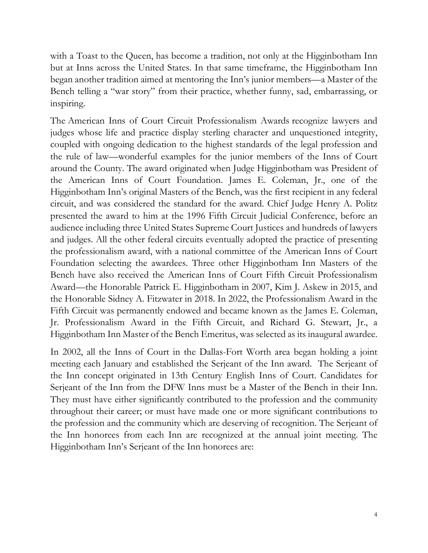with a Toast to the Queen, has become a tradition, not only at the Higginbotham Inn but at Inns across the United States. In that same timeframe, the Higginbotham Inn began another tradition aimed at mentoring the Inn's junior members—a Master of the Bench telling a "war story" from their practice, whether funny, sad, embarrassing, or inspiring.

The American Inns of Court Circuit Professionalism Awards recognize lawyers and judges whose life and practice display sterling character and unquestioned integrity, coupled with ongoing dedication to the highest standards of the legal profession and the rule of law—wonderful examples for the junior members of the Inns of Court around the County. The award originated when Judge Higginbotham was President of the American Inns of Court Foundation. James E. Coleman, Jr., one of the Higginbotham Inn's original Masters of the Bench, was the first recipient in any federal circuit, and was considered the standard for the award. Chief Judge Henry A. Politz presented the award to him at the 1996 Fifth Circuit Judicial Conference, before an audience including three United States Supreme Court Justices and hundreds of lawyers and judges. All the other federal circuits eventually adopted the practice of presenting the professionalism award, with a national committee of the American Inns of Court Foundation selecting the awardees. Three other Higginbotham Inn Masters of the Bench have also received the American Inns of Court Fifth Circuit Professionalism Award—the Honorable Patrick E. Higginbotham in 2007, Kim J. Askew in 2015, and the Honorable Sidney A. Fitzwater in 2018. In 2022, the Professionalism Award in the Fifth Circuit was permanently endowed and became known as the James E. Coleman, Jr. Professionalism Award in the Fifth Circuit, and Richard G. Stewart, Jr., a Higginbotham Inn Master of the Bench Emeritus, was selected as its inaugural awardee.

In 2002, all the Inns of Court in the Dallas-Fort Worth area began holding a joint meeting each January and established the Serjeant of the Inn award. The Serjeant of the Inn concept originated in 13th Century English Inns of Court. Candidates for Serjeant of the Inn from the DFW Inns must be a Master of the Bench in their Inn. They must have either significantly contributed to the profession and the community throughout their career; or must have made one or more significant contributions to the profession and the community which are deserving of recognition. The Serjeant of the Inn honorees from each Inn are recognized at the annual joint meeting. The Higginbotham Inn's Serjeant of the Inn honorees are: